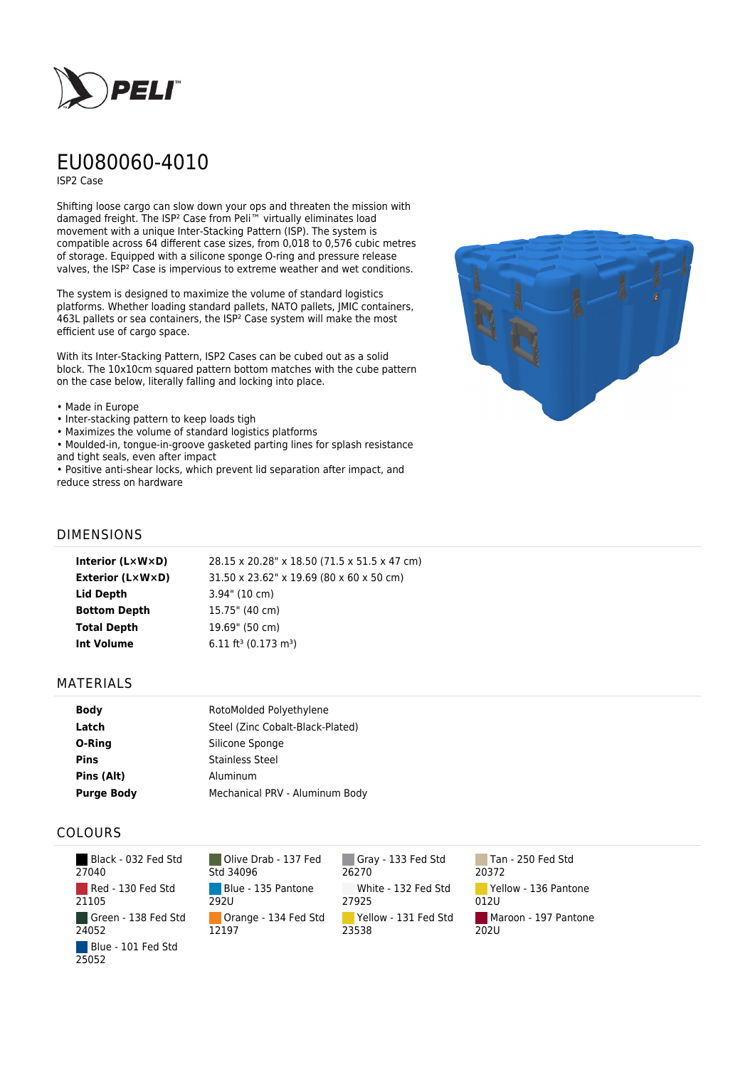

# EU080060-4010

ISP2 Case

Shifting loose cargo can slow down your ops and threaten the mission with damaged freight. The ISP² Case from Peli™ virtually eliminates load movement with a unique Inter-Stacking Pattern (ISP). The system is compatible across 64 different case sizes, from 0,018 to 0,576 cubic metres of storage. Equipped with a silicone sponge O-ring and pressure release valves, the ISP² Case is impervious to extreme weather and wet conditions.

The system is designed to maximize the volume of standard logistics platforms. Whether loading standard pallets, NATO pallets, JMIC containers, 463L pallets or sea containers, the ISP² Case system will make the most efficient use of cargo space.

With its Inter-Stacking Pattern, ISP2 Cases can be cubed out as a solid block. The 10x10cm squared pattern bottom matches with the cube pattern on the case below, literally falling and locking into place.

- Made in Europe
- Inter-stacking pattern to keep loads tigh
- Maximizes the volume of standard logistics platforms
- Moulded-in, tongue-in-groove gasketed parting lines for splash resistance and tight seals, even after impact

• Positive anti-shear locks, which prevent lid separation after impact, and reduce stress on hardware



#### DIMENSIONS

| Interior (LxWxD)    | 28.15 x 20.28" x 18.50 (71.5 x 51.5 x 47 cm) |
|---------------------|----------------------------------------------|
| Exterior (L×W×D)    | 31.50 x 23.62" x 19.69 (80 x 60 x 50 cm)     |
| Lid Depth           | $3.94$ " (10 cm)                             |
| <b>Bottom Depth</b> | 15.75" (40 cm)                               |
| <b>Total Depth</b>  | 19.69" (50 cm)                               |
| Int Volume          | $6.11 \text{ ft}^3 (0.173 \text{ m}^3)$      |
|                     |                                              |

#### MATERIALS

| <b>Body</b>       | RotoMolded Polyethylene          |
|-------------------|----------------------------------|
| Latch             | Steel (Zinc Cobalt-Black-Plated) |
| O-Ring            | Silicone Sponge                  |
| <b>Pins</b>       | <b>Stainless Steel</b>           |
| Pins (Alt)        | Aluminum                         |
| <b>Purge Body</b> | Mechanical PRV - Aluminum Body   |

### COLOURS

| Black - 032 Fed Std<br>27040 |
|------------------------------|
| Red - 130 Fed Std<br>21105   |
| Green - 138 Fed Std<br>24052 |
| Blue - 101 Fed Std<br>25052  |

Olive Drab - 137 Fed Std 34096 Blue - 135 Pantone 292U Orange - 134 Fed Std 12197

Gray - 133 Fed Std 26270 White - 132 Fed Std 27925 Yellow - 131 Fed Std 23538

Tan - 250 Fed Std 20372 Yellow - 136 Pantone 012U Maroon - 197 Pantone 202U